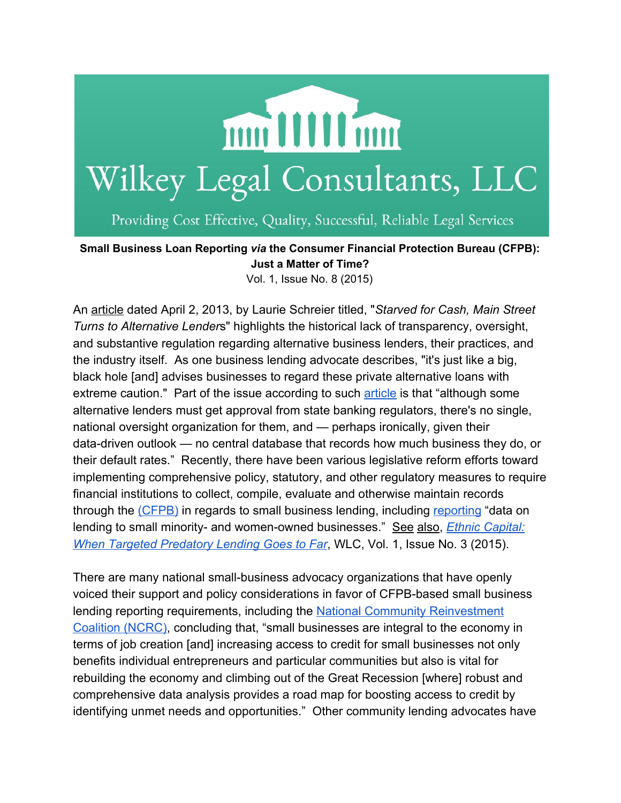

Providing Cost Effective, Quality, Successful, Reliable Legal Services

**Small Business Loan Reporting** *via***the Consumer Financial Protection Bureau (CFPB): Just a Matter of Time?**

Vol. 1, Issue No. 8 (2015)

An [article](http://www.cnbc.com/id/100570324) dated April 2, 2013, by Laurie Schreier titled, "*Starved for Cash, Main Street Turns to Alternative Lender*s" highlights the historical lack of transparency, oversight, and substantive regulation regarding alternative business lenders, their practices, and the industry itself. As one business lending advocate describes, "it's just like a big, black hole [and] advises businesses to regard these private alternative loans with extreme caution." Part of the issue according to such [article](http://www.cnbc.com/id/100570324) is that "although some alternative lenders must get approval from state banking regulators, there's no single, national oversight organization for them, and — perhaps ironically, given their data-driven outlook — no central database that records how much business they do, or their default rates." Recently, there have been various legislative reform efforts toward implementing comprehensive policy, statutory, and other regulatory measures to require financial institutions to collect, compile, evaluate and otherwise maintain records through the [\(CFPB\)](http://www.consumerfinance.gov/) in regards to small business lending, including [reporting](http://thehill.com/regulation/252177-house-dems-push-cfpb-to-write-small-business-loan-reporting-rule) "data on lending to small minority- and women-owned businesses." See also, *Ethnic [Capital:](http://www.robertwilkey.com/app/download/10654435/EthnicCapitalWhenTargetedPredatoryLendingGoesTooFar+%28FINAL%29.pdf) When Targeted [Predatory](http://www.robertwilkey.com/app/download/10654435/EthnicCapitalWhenTargetedPredatoryLendingGoesTooFar+%28FINAL%29.pdf) Lending Goes to Far*, WLC, Vol. 1, Issue No. 3 (2015).

There are many national small-business advocacy organizations that have openly voiced their support and policy considerations in favor of CFPB-based small business lending reporting requirements, including the National Community [Reinvestment](http://www.aba.com/Tools/Economic/Documents/NCRCRecommendationsToCFPBonSmallBusinessLoanData.pdf) [Coalition](http://www.aba.com/Tools/Economic/Documents/NCRCRecommendationsToCFPBonSmallBusinessLoanData.pdf) (NCRC), concluding that, "small businesses are integral to the economy in terms of job creation [and] increasing access to credit for small businesses not only benefits individual entrepreneurs and particular communities but also is vital for rebuilding the economy and climbing out of the Great Recession [where] robust and comprehensive data analysis provides a road map for boosting access to credit by identifying unmet needs and opportunities." Other community lending advocates have